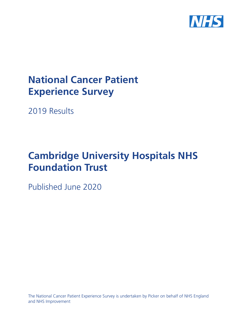

# **National Cancer Patient Experience Survey**

2019 Results

# **Cambridge University Hospitals NHS Foundation Trust**

Published June 2020

The National Cancer Patient Experience Survey is undertaken by Picker on behalf of NHS England and NHS Improvement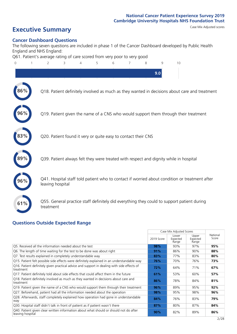# **Executive Summary** Case Mix Adjusted scores

### **Cancer Dashboard Questions**

The following seven questions are included in phase 1 of the Cancer Dashboard developed by Public Health England and NHS England:

Q61. Patient's average rating of care scored from very poor to very good



### **Questions Outside Expected Range**

|                                                                                                           |            | Case Mix Adjusted Scores   |                            |                   |
|-----------------------------------------------------------------------------------------------------------|------------|----------------------------|----------------------------|-------------------|
|                                                                                                           | 2019 Score | Lower<br>Expected<br>Range | Upper<br>Expected<br>Range | National<br>Score |
| Q5. Received all the information needed about the test                                                    | 98%        | 93%                        | 97%                        | 95%               |
| Q6. The length of time waiting for the test to be done was about right                                    | 91%        | 86%                        | 90%                        | 88%               |
| Q7. Test results explained in completely understandable way                                               | 83%        | 77%                        | 83%                        | 80%               |
| Q15. Patient felt possible side effects were definitely explained in an understandable way                | 76%        | 70%                        | 76%                        | 73%               |
| Q16. Patient definitely given practical advice and support in dealing with side effects of<br>treatment   | 72%        | 64%                        | 71%                        | 67%               |
| Q17. Patient definitely told about side effects that could affect them in the future                      | 61%        | 53%                        | 60%                        | 57%               |
| Q18. Patient definitely involved as much as they wanted in decisions about care and<br>treatment          | 86%        | 78%                        | 84%                        | 81%               |
| Q19. Patient given the name of a CNS who would support them through their treatment                       | 96%        | 89%                        | 95%                        | 92%               |
| Q27. Beforehand, patient had all the information needed about the operation                               | 98%        | 95%                        | 98%                        | 96%               |
| Q28. Afterwards, staff completely explained how operation had gone in understandable<br>way               | 84%        | 76%                        | 83%                        | 79%               |
| Q30. Hospital staff didn't talk in front of patient as if patient wasn't there                            | 87%        | 80%                        | 87%                        | 84%               |
| Q40. Patient given clear written information about what should or should not do after<br>leaving hospital | 90%        | 82%                        | 89%                        | 86%               |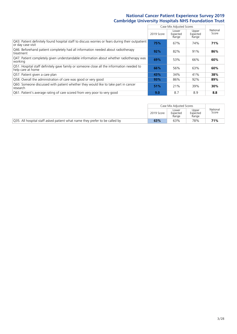|                                                                                                                       |            | Case Mix Adjusted Scores   |                            |                   |
|-----------------------------------------------------------------------------------------------------------------------|------------|----------------------------|----------------------------|-------------------|
|                                                                                                                       | 2019 Score | Lower<br>Expected<br>Range | Upper<br>Expected<br>Range | National<br>Score |
| Q43. Patient definitely found hospital staff to discuss worries or fears during their outpatient<br>or day case visit | 75%        | 67%                        | 74%                        | 71%               |
| Q46. Beforehand patient completely had all information needed about radiotherapy<br>treatment                         | 92%        | 82%                        | 91%                        | 86%               |
| Q47. Patient completely given understandable information about whether radiotherapy was<br>working                    | 69%        | 53%                        | 66%                        | 60%               |
| Q51. Hospital staff definitely gave family or someone close all the information needed to<br>help care at home        | 66%        | 56%                        | 63%                        | 60%               |
| Q57. Patient given a care plan                                                                                        | 43%        | 34%                        | 41%                        | 38%               |
| Q58. Overall the administration of care was good or very good                                                         | 93%        | 86%                        | 92%                        | 89%               |
| Q60. Someone discussed with patient whether they would like to take part in cancer<br>research                        | 51%        | 21%                        | 39%                        | 30%               |
| Q61. Patient's average rating of care scored from very poor to very good                                              | 9.0        | 8.7                        | 8.9                        | 8.8               |

|                                                                             |            | Case Mix Adjusted Scores   |                            |                   |
|-----------------------------------------------------------------------------|------------|----------------------------|----------------------------|-------------------|
|                                                                             | 2019 Score | Lower<br>Expected<br>Range | Upper<br>Expected<br>Range | National<br>Score |
| Q35. All hospital staff asked patient what name they prefer to be called by | 63%        | 63%                        | 78%                        | 71%               |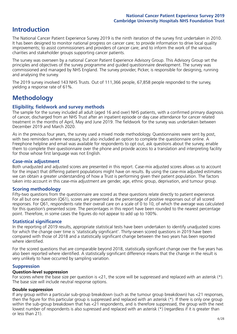## **Introduction**

The National Cancer Patient Experience Survey 2019 is the ninth iteration of the survey first undertaken in 2010. It has been designed to monitor national progress on cancer care; to provide information to drive local quality improvements; to assist commissioners and providers of cancer care; and to inform the work of the various charities and stakeholder groups supporting cancer patients.

The survey was overseen by a national Cancer Patient Experience Advisory Group. This Advisory Group set the principles and objectives of the survey programme and guided questionnaire development. The survey was commissioned and managed by NHS England. The survey provider, Picker, is responsible for designing, running and analysing the survey.

The 2019 survey involved 143 NHS Trusts. Out of 111,366 people, 67,858 people responded to the survey, yielding a response rate of 61%.

# **Methodology**

### **Eligibility, eldwork and survey methods**

The sample for the survey included all adult (aged 16 and over) NHS patients, with a confirmed primary diagnosis of cancer, discharged from an NHS Trust after an inpatient episode or day case attendance for cancer related treatment in the months of April, May and June 2019. The fieldwork for the survey was undertaken between December 2019 and March 2020.

As in the previous four years, the survey used a mixed mode methodology. Questionnaires were sent by post, with two reminders where necessary, but also included an option to complete the questionnaire online. A Freephone helpline and email was available for respondents to opt out, ask questions about the survey, enable them to complete their questionnaire over the phone and provide access to a translation and interpreting facility for those whose first language was not English.

### **Case-mix adjustment**

Both unadjusted and adjusted scores are presented in this report. Case-mix adjusted scores allows us to account for the impact that differing patient populations might have on results. By using the case-mix adjusted estimates we can obtain a greater understanding of how a Trust is performing given their patient population. The factors taken into account in this case-mix adjustment are gender, age, ethnic group, deprivation, and tumour group.

### **Scoring methodology**

Fifty-two questions from the questionnaire are scored as these questions relate directly to patient experience. For all but one question (Q61), scores are presented as the percentage of positive responses out of all scored responses. For Q61, respondents rate their overall care on a scale of 0 to 10, of which the average was calculated for this question's presented score. The percentages in this report have been rounded to the nearest percentage point. Therefore, in some cases the figures do not appear to add up to 100%.

### **Statistical significance**

In the reporting of 2019 results, appropriate statistical tests have been undertaken to identify unadjusted scores for which the change over time is 'statistically significant'. Thirty-seven scored questions in 2019 have been compared with those of 2018 and a statistically significant change between the two years has been reported where identified.

For the scored questions that are comparable beyond 2018, statistically significant change over the five years has also been reported where identified. A statistically significant difference means that the change in the result is very unlikely to have occurred by sampling variation.

### **Suppression**

### **Question-level suppression**

For scores where the base size per question is  $<$ 21, the score will be suppressed and replaced with an asterisk (\*). The base size will include neutral response options.

### **Double suppression**

If any group within a particular sub-group breakdown (such as the tumour group breakdown) has <21 responses, then the figure for this particular group is suppressed and replaced with an asterisk (\*). If there is only one group within the sub-group breakdown that has <21 respondents, and is therefore suppressed, the group with the next lowest number of respondents is also supressed and replaced with an asterisk (\*) (regardless if it is greater than or less than 21).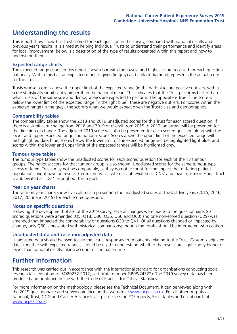## **Understanding the results**

This report shows how this Trust scored for each question in the survey, compared with national results and previous year's results. It is aimed at helping individual Trusts to understand their performance and identify areas for local improvement. Below is a description of the type of results presented within this report and how to understand them.

### **Expected range charts**

The expected range charts in this report show a bar with the lowest and highest score received for each question nationally. Within this bar, an expected range is given (in grey) and a black diamond represents the actual score for this Trust.

Trusts whose score is above the upper limit of the expected range (in the dark blue) are positive outliers, with a score statistically significantly higher than the national mean. This indicates that the Trust performs better than what Trusts of the same size and demographics are expected to perform. The opposite is true if the score is below the lower limit of the expected range (in the light blue); these are negative outliers. For scores within the expected range (in the grey), the score is what we would expect given the Trust's size and demographics.

### **Comparability tables**

The comparability tables show the 2018 and 2019 unadjusted scores for this Trust for each scored question. If there is a significant change from 2018 and 2019 or overall from 2015 to 2019, an arrow will be presented for the direction of change. The adjusted 2019 score will also be presented for each scored question along with the lower and upper expected range and national score. Scores above the upper limit of the expected range will be highlighted dark blue, scores below the lower limit of the expected range will be highlighted light blue, and scores within the lower and upper limit of the expected ranges will be highlighted grey.

### **Tumour type tables**

The tumour type tables show the unadjusted scores for each scored question for each of the 13 tumour groups. The national score for that tumour group is also shown. Unadjusted scores for the same tumour type across different Trusts may not be comparable, as they do not account for the impact that differing patient populations might have on results. Central nervous system is abbreviated as 'CNS' and lower gastrointestinal tract is abbreviated as 'LGT' throughout this report.

### **Year on year charts**

The year on year charts show five columns representing the unadjusted scores of the last five years (2015, 2016, 2017, 2018 and 2019) for each scored question.

### **Notes on specific questions**

Following the development phase of the 2019 survey, several changes were made to the questionnaire. Six scored questions were amended (Q5, Q18, Q30, Q35, Q56 and Q60) and one non-scored question (Q29) was amended that impacted the comparability of questions Q30 to Q41. Of all questions changed or impacted by change, only Q60 is presented with historical comparisons; though the results should be interpreted with caution.

### **Unadjusted data and case-mix adjusted data**

Unadjusted data should be used to see the actual responses from patients relating to the Trust. Case-mix adjusted data, together with expected ranges, should be used to understand whether the results are significantly higher or lower than national results taking account of the patient mix.

### **Further information**

This research was carried out in accordance with the international standard for organisations conducting social research (accreditation to ISO20252:2012; certificate number GB08/74322). The 2019 survey data has been produced and published in line with the Code of Practice for Official Statistics.

For more information on the methodology, please see the Technical Document. It can be viewed along with the 2019 questionnaire and survey quidance on the website at [www.ncpes.co.uk](https://www.ncpes.co.uk/supporting-documents). For all other outputs at National, Trust, CCG and Cancer Alliance level, please see the PDF reports, Excel tables and dashboards at [www.ncpes.co.uk.](https://www.ncpes.co.uk/current-results)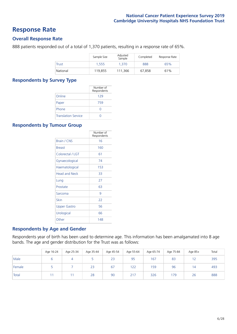### **Response Rate**

### **Overall Response Rate**

888 patients responded out of a total of 1,370 patients, resulting in a response rate of 65%.

|          | Sample Size | Adjusted<br>Sample | Completed | Response Rate |
|----------|-------------|--------------------|-----------|---------------|
| Trust    | 1.555       | 1.370              | 888       | 65%           |
| National | 119.855     | 111.366            | 67.858    | 61%           |

### **Respondents by Survey Type**

|                            | Number of<br>Respondents |
|----------------------------|--------------------------|
| Online                     | 129                      |
| Paper                      | 759                      |
| Phone                      | Ω                        |
| <b>Translation Service</b> |                          |

### **Respondents by Tumour Group**

|                      | Number of<br>Respondents |
|----------------------|--------------------------|
| <b>Brain / CNS</b>   | 16                       |
| <b>Breast</b>        | 160                      |
| Colorectal / LGT     | 61                       |
| Gynaecological       | 74                       |
| Haematological       | 153                      |
| <b>Head and Neck</b> | 33                       |
| Lung                 | 27                       |
| Prostate             | 63                       |
| Sarcoma              | 9                        |
| Skin                 | 22                       |
| Upper Gastro         | 56                       |
| Urological           | 66                       |
| Other                | 148                      |

### **Respondents by Age and Gender**

Respondents year of birth has been used to determine age. This information has been amalgamated into 8 age bands. The age and gender distribution for the Trust was as follows:

|        | Age 16-24 | Age 25-34 | Age 35-44 | Age 45-54 | Age 55-64 | Age 65-74 | Age 75-84 | Age 85+ | Total |
|--------|-----------|-----------|-----------|-----------|-----------|-----------|-----------|---------|-------|
| Male   |           |           |           | 23        | 95        | 167       | 83        | 12      | 395   |
| Female |           |           | 23        | 67        | 122       | 159       | 96        | 14      | 493   |
| Total  |           |           | 28        | 90        | 217       | 326       | 179       | 26      | 888   |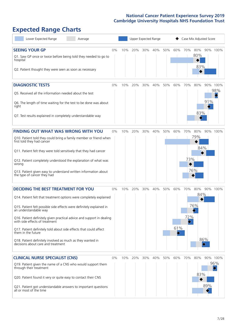# **Expected Range Charts**

| Lower Expected Range<br>Average                                                                                                                                                                                                                                                                                                                                                                                                                                                                                             | Upper Expected Range<br>Case Mix Adjusted Score |     |     |     |     |     |                 |            |                          |                        |                 |
|-----------------------------------------------------------------------------------------------------------------------------------------------------------------------------------------------------------------------------------------------------------------------------------------------------------------------------------------------------------------------------------------------------------------------------------------------------------------------------------------------------------------------------|-------------------------------------------------|-----|-----|-----|-----|-----|-----------------|------------|--------------------------|------------------------|-----------------|
| <b>SEEING YOUR GP</b><br>Q1. Saw GP once or twice before being told they needed to go to<br>hospital<br>Q2. Patient thought they were seen as soon as necessary                                                                                                                                                                                                                                                                                                                                                             | $0\%$                                           | 10% | 20% | 30% | 40% | 50% | 60%             | 70%        | 80%<br>80%<br>83%        |                        | 90% 100%        |
| <b>DIAGNOSTIC TESTS</b><br>Q5. Received all the information needed about the test<br>Q6. The length of time waiting for the test to be done was about<br>right<br>Q7. Test results explained in completely understandable way                                                                                                                                                                                                                                                                                               | 0%                                              | 10% | 20% | 30% | 40% | 50% | 60%             | 70%        | 80%<br>83%               | 91%                    | 90% 100%<br>98% |
| <b>FINDING OUT WHAT WAS WRONG WITH YOU</b><br>Q10. Patient told they could bring a family member or friend when<br>first told they had cancer<br>Q11. Patient felt they were told sensitively that they had cancer<br>Q12. Patient completely understood the explanation of what was<br>wrong<br>Q13. Patient given easy to understand written information about<br>the type of cancer they had                                                                                                                             | 0%                                              | 10% | 20% | 30% | 40% | 50% | 60%             | 70%<br>73% | 80%<br>79%<br>84%<br>76% | 90%                    | 100%            |
| <b>DECIDING THE BEST TREATMENT FOR YOU</b><br>Q14. Patient felt that treatment options were completely explained<br>Q15. Patient felt possible side effects were definitely explained in<br>an understandable way<br>Q16. Patient definitely given practical advice and support in dealing<br>with side effects of treatment<br>Q17. Patient definitely told about side effects that could affect<br>them in the future<br>Q18. Patient definitely involved as much as they wanted in<br>decisions about care and treatment | 0%                                              | 10% | 20% | 30% | 40% | 50% | 60%<br>61%<br>◇ | 70%<br>72% | 80%<br>84%<br>76%        | 86%<br>$\blacklozenge$ | 90% 100%        |
| <b>CLINICAL NURSE SPECIALIST (CNS)</b><br>Q19. Patient given the name of a CNS who would support them<br>through their treatment<br>Q20. Patient found it very or quite easy to contact their CNS<br>Q21. Patient got understandable answers to important questions<br>all or most of the time                                                                                                                                                                                                                              | 0%                                              | 10% | 20% | 30% | 40% | 50% | 60%             | 70%        | 80%<br>83%               | 89%                    | 90% 100%<br>96% |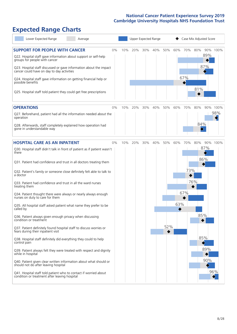# **Expected Range Charts**

| Lower Expected Range<br>Average                                                                                   |    | Upper Expected Range |     |     |     |     |     | Case Mix Adjusted Score |     |     |          |  |
|-------------------------------------------------------------------------------------------------------------------|----|----------------------|-----|-----|-----|-----|-----|-------------------------|-----|-----|----------|--|
| <b>SUPPORT FOR PEOPLE WITH CANCER</b>                                                                             | 0% | 10%                  | 20% | 30% | 40% | 50% | 60% | 70%                     | 80% |     | 90% 100% |  |
| Q22. Hospital staff gave information about support or self-help<br>groups for people with cancer                  |    |                      |     |     |     |     |     |                         |     | 89% |          |  |
| Q23. Hospital staff discussed or gave information about the impact<br>cancer could have on day to day activities  |    |                      |     |     |     |     |     |                         |     | 87% |          |  |
| Q24. Hospital staff gave information on getting financial help or<br>possible benefits                            |    |                      |     |     |     |     |     | 67%                     |     |     |          |  |
| Q25. Hospital staff told patient they could get free prescriptions                                                |    |                      |     |     |     |     |     |                         | 81% |     |          |  |
| <b>OPERATIONS</b>                                                                                                 | 0% | 10%                  | 20% | 30% | 40% | 50% | 60% | 70%                     | 80% |     | 90% 100% |  |
| Q27. Beforehand, patient had all the information needed about the<br>operation                                    |    |                      |     |     |     |     |     |                         |     |     | 98%      |  |
| Q28. Afterwards, staff completely explained how operation had<br>gone in understandable way                       |    |                      |     |     |     |     |     |                         | 84% |     |          |  |
| <b>HOSPITAL CARE AS AN INPATIENT</b>                                                                              | 0% | 10%                  | 20% | 30% | 40% | 50% | 60% | 70%                     | 80% |     | 90% 100% |  |
| Q30. Hospital staff didn't talk in front of patient as if patient wasn't<br>there                                 |    |                      |     |     |     |     |     |                         |     | 87% |          |  |
| Q31. Patient had confidence and trust in all doctors treating them                                                |    |                      |     |     |     |     |     |                         |     | 86% |          |  |
| Q32. Patient's family or someone close definitely felt able to talk to<br>a doctor                                |    |                      |     |     |     |     |     | 73%                     |     |     |          |  |
| Q33. Patient had confidence and trust in all the ward nurses<br>treating them                                     |    |                      |     |     |     |     |     |                         | 76% |     |          |  |
| Q34. Patient thought there were always or nearly always enough<br>nurses on duty to care for them                 |    |                      |     |     |     |     |     | 67%                     |     |     |          |  |
| Q35. All hospital staff asked patient what name they prefer to be<br>called by                                    |    |                      |     |     |     |     | 63% |                         |     |     |          |  |
| Q36. Patient always given enough privacy when discussing<br>condition or treatment                                |    |                      |     |     |     |     |     |                         |     | 85% |          |  |
| Q37. Patient definitely found hospital staff to discuss worries or<br>fears during their inpatient visit          |    |                      |     |     |     | 52% |     |                         |     |     |          |  |
| Q38. Hospital staff definitely did everything they could to help<br>control pain                                  |    |                      |     |     |     |     |     |                         |     | 85% |          |  |
| Q39. Patient always felt they were treated with respect and dignity<br>while in hospital                          |    |                      |     |     |     |     |     |                         |     | 89% |          |  |
| Q40. Patient given clear written information about what should or<br>should not do after leaving hospital         |    |                      |     |     |     |     |     |                         |     | 90% |          |  |
| Q41. Hospital staff told patient who to contact if worried about<br>condition or treatment after leaving hospital |    |                      |     |     |     |     |     |                         |     |     | 96%      |  |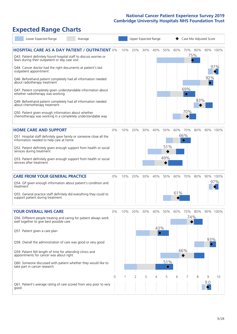# **Expected Range Charts**

| Lower Expected Range<br>Average                                                                                       |       |     |     |     | Upper Expected Range                |          |     | Case Mix Adjusted Score |                               |     |          |  |  |
|-----------------------------------------------------------------------------------------------------------------------|-------|-----|-----|-----|-------------------------------------|----------|-----|-------------------------|-------------------------------|-----|----------|--|--|
| <b>HOSPITAL CARE AS A DAY PATIENT / OUTPATIENT 0%</b>                                                                 |       | 10% | 20% | 30% | 40%                                 | 50%      | 60% | 70% 80%                 |                               |     | 90% 100% |  |  |
| Q43. Patient definitely found hospital staff to discuss worries or<br>fears during their outpatient or day case visit |       |     |     |     |                                     |          |     |                         | 75%<br>$\color{blue}\diamond$ |     |          |  |  |
| Q44. Cancer doctor had the right documents at patient's last<br>outpatient appointment                                |       |     |     |     |                                     |          |     |                         |                               |     | 97%      |  |  |
| Q46. Beforehand patient completely had all information needed<br>about radiotherapy treatment                         |       |     |     |     |                                     |          |     |                         |                               | 92% |          |  |  |
| Q47. Patient completely given understandable information about<br>whether radiotherapy was working                    |       |     |     |     |                                     |          |     | 69%<br>$\Diamond$       |                               |     |          |  |  |
| Q49. Beforehand patient completely had all information needed<br>about chemotherapy treatment                         |       |     |     |     |                                     |          |     |                         | 83%                           |     |          |  |  |
| Q50. Patient given enough information about whether<br>chemotherapy was working in a completely understandable way    |       |     |     |     |                                     |          |     | 70%                     |                               |     |          |  |  |
| <b>HOME CARE AND SUPPORT</b>                                                                                          | 0%    | 10% | 20% | 30% | 40%                                 | 50%      | 60% | 70%                     | 80%                           |     | 90% 100% |  |  |
| Q51. Hospital staff definitely gave family or someone close all the<br>information needed to help care at home        |       |     |     |     |                                     |          |     | 66%                     |                               |     |          |  |  |
| Q52. Patient definitely given enough support from health or social<br>services during treatment                       |       |     |     |     |                                     | 51%      |     |                         |                               |     |          |  |  |
| Q53. Patient definitely given enough support from health or social<br>services after treatment                        |       |     |     |     |                                     | 49%      |     |                         |                               |     |          |  |  |
| <b>CARE FROM YOUR GENERAL PRACTICE</b>                                                                                | 0%    | 10% | 20% | 30% | 40%                                 | 50%      | 60% | 70%                     | 80%                           |     | 90% 100% |  |  |
| Q54. GP given enough information about patient's condition and<br>treatment                                           |       |     |     |     |                                     |          |     |                         |                               |     | 97%      |  |  |
| Q55. General practice staff definitely did everything they could to<br>support patient during treatment               |       |     |     |     |                                     |          | 61% |                         |                               |     |          |  |  |
| <b>YOUR OVERALL NHS CARE</b>                                                                                          | $0\%$ | 10% | 20% | 30% | 40%                                 | 50%      | 60% | 70%                     | 80%                           |     | 90% 100% |  |  |
| Q56. Different people treating and caring for patient always work<br>well together to give best possible care         |       |     |     |     |                                     |          |     | 74%                     |                               |     |          |  |  |
| Q57. Patient given a care plan                                                                                        |       |     |     |     | 43%<br>$\color{black}\blacklozenge$ |          |     |                         |                               |     |          |  |  |
| Q58. Overall the administration of care was good or very good                                                         |       |     |     |     |                                     |          |     |                         |                               | 93% |          |  |  |
| Q59. Patient felt length of time for attending clinics and<br>appointments for cancer was about right                 |       |     |     |     |                                     |          |     | 66%                     |                               |     |          |  |  |
| Q60. Someone discussed with patient whether they would like to<br>take part in cancer research                        |       |     |     |     |                                     | 51%<br>◇ |     |                         |                               |     |          |  |  |
|                                                                                                                       | 0     |     | 2   | 3   | 4                                   | 5        | 6   |                         | 8                             | 9   | 10       |  |  |
| Q61. Patient's average rating of care scored from very poor to very<br>good                                           |       |     |     |     |                                     |          |     |                         |                               | 9.0 |          |  |  |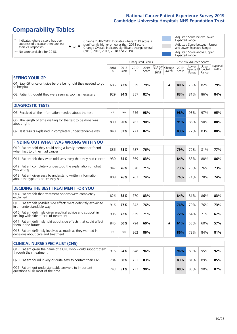# **Comparability Tables**

\* Indicates where a score has been suppressed because there are less than 21 responses.

\*\* No score available for 2018.

 $\triangle$  or  $\nabla$ 

Change 2018-2019: Indicates where 2019 score is significantly higher or lower than 2018 score Change Overall: Indicates significant change overall (2015, 2016, 2017, 2018 and 2019).

Adjusted Score below Lower Expected Range Adjusted Score between Upper and Lower Expected Ranges Adjusted Score above Upper Expected Range

|                                                                             |           |               | Unadjusted Scores |               |                                                  |         | Case Mix Adjusted Scores |                                     |                |                   |
|-----------------------------------------------------------------------------|-----------|---------------|-------------------|---------------|--------------------------------------------------|---------|--------------------------|-------------------------------------|----------------|-------------------|
|                                                                             | 2018<br>n | 2018<br>Score | 2019<br>n         | 2019<br>Score | $\sqrt{(\text{Change})}$ Change<br>2018-<br>2019 | Overall | 2019<br>Score            | Lower<br>Expected Expected<br>Range | Upper<br>Range | National<br>Score |
| <b>SEEING YOUR GP</b>                                                       |           |               |                   |               |                                                  |         |                          |                                     |                |                   |
| Q1. Saw GP once or twice before being told they needed to go<br>to hospital | 686       | 72%           | 639               | 79%           |                                                  |         | 80%                      | 76%                                 | 82%            | 79%               |
| Q2. Patient thought they were seen as soon as necessary                     | 929       | 84%           | 857               | 82%           |                                                  |         | 83%                      | 81%                                 | 86%            | 84%               |
| <b>DIAGNOSTIC TESTS</b>                                                     |           |               |                   |               |                                                  |         |                          |                                     |                |                   |

| <b>UIAGINUSTIC TESTS</b>                                                  |      |     |      |     |  |  |     |     |     |     |  |
|---------------------------------------------------------------------------|------|-----|------|-----|--|--|-----|-----|-----|-----|--|
| O5. Received all the information needed about the test                    | $**$ | **  | 756. | 98% |  |  | 98% | 93% | 97% | 95% |  |
| Q6. The length of time waiting for the test to be done was<br>about right | 830  | 90% | 763  | 90% |  |  | 91% | 86% | 90% | 88% |  |
| Q7. Test results explained in completely understandable way               | 840  | 82% |      | 82% |  |  | 83% | 77% | 83% | 80% |  |

| <b>FINDING OUT WHAT WAS WRONG WITH YOU</b>                                                      |     |     |     |     |     |     |     |     |
|-------------------------------------------------------------------------------------------------|-----|-----|-----|-----|-----|-----|-----|-----|
| Q10. Patient told they could bring a family member or friend<br>when first told they had cancer | 836 | 75% | 787 | 76% | 79% | 72% | 81% | 77% |
| Q11. Patient felt they were told sensitively that they had cancer                               | 930 | 84% | 869 | 83% | 84% | 83% | 88% | 86% |
| Q12. Patient completely understood the explanation of what<br>was wrong                         | 947 | 76% | 870 | 71% | 73% | 70% | 76% | 73% |
| Q13. Patient given easy to understand written information<br>about the type of cancer they had  | 808 | 76% | 762 | 74% | 76% | 71% | 78% | 74% |

| <b>DECIDING THE BEST TREATMENT FOR YOU</b>                                                              |      |     |     |     |  |     |     |     |     |
|---------------------------------------------------------------------------------------------------------|------|-----|-----|-----|--|-----|-----|-----|-----|
| Q14. Patient felt that treatment options were completely<br>explained                                   | 826  | 88% | 770 | 83% |  | 84% | 81% | 86% | 83% |
| Q15. Patient felt possible side effects were definitely explained<br>in an understandable way           | 916  | 77% | 842 | 76% |  | 76% | 70% | 76% | 73% |
| Q16. Patient definitely given practical advice and support in<br>dealing with side effects of treatment | 905  | 72% | 839 | 71% |  | 72% | 64% | 71% | 67% |
| Q17. Patient definitely told about side effects that could affect<br>them in the future                 | 845  | 60% | 794 | 60% |  | 61% | 53% | 60% | 57% |
| Q18. Patient definitely involved as much as they wanted in<br>decisions about care and treatment        | $**$ | **  | 862 | 86% |  | 86% | 78% | 84% | 81% |

| <b>CLINICAL NURSE SPECIALIST (CNS)</b>                                                    |     |     |     |     |     |     |     |     |
|-------------------------------------------------------------------------------------------|-----|-----|-----|-----|-----|-----|-----|-----|
| Q19. Patient given the name of a CNS who would support them<br>through their treatment    | 916 | 94% | 848 | 96% | 96% | 89% | 95% | 92% |
| Q20. Patient found it very or quite easy to contact their CNS                             | 784 | 88% | 753 | 83% | 83% | 81% | 89% | 85% |
| Q21. Patient got understandable answers to important<br>questions all or most of the time | 743 | 91% | 737 | 90% | 89% | 85% | 90% | 87% |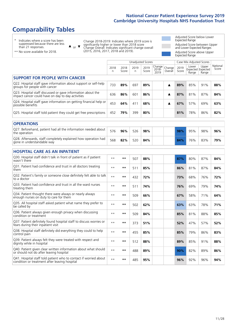# **Comparability Tables**

\* Indicates where a score has been suppressed because there are less than 21 responses.

\*\* No score available for 2018.

 $\triangle$  or  $\nabla$ 

Change 2018-2019: Indicates where 2019 score is significantly higher or lower than 2018 score Change Overall: Indicates significant change overall (2015, 2016, 2017, 2018 and 2019).

Adjusted Score below Lower Expected Range Adjusted Score between Upper and Lower Expected Ranges Adjusted Score above Upper Expected Range

|                                                                                                                   |              |               | <b>Unadjusted Scores</b> |               |                         |                   |               | Case Mix Adjusted Scores            |                |                   |
|-------------------------------------------------------------------------------------------------------------------|--------------|---------------|--------------------------|---------------|-------------------------|-------------------|---------------|-------------------------------------|----------------|-------------------|
|                                                                                                                   | 2018<br>n    | 2018<br>Score | 2019<br>n.               | 2019<br>Score | Change<br>2018-<br>2019 | Change<br>Overall | 2019<br>Score | Lower<br>Expected Expected<br>Range | Upper<br>Range | National<br>Score |
| <b>SUPPORT FOR PEOPLE WITH CANCER</b>                                                                             |              |               |                          |               |                         |                   |               |                                     |                |                   |
| Q22. Hospital staff gave information about support or self-help<br>groups for people with cancer                  | 733          | 89%           | 697                      | 89%           |                         | ▲                 | 89%           | 85%                                 | 91%            | 88%               |
| Q23. Hospital staff discussed or gave information about the<br>impact cancer could have on day to day activities  | 636          | 86%           | 601                      | 86%           |                         | ▲                 | 87%           | 81%                                 | 87%            | 84%               |
| Q24. Hospital staff gave information on getting financial help or<br>possible benefits                            | 453          | 64%           | 411                      | 68%           |                         | ▲                 | 67%           | 57%                                 | 69%            | 63%               |
| Q25. Hospital staff told patient they could get free prescriptions                                                | 452          | 79%           | 399                      | 80%           |                         |                   | 81%           | 78%                                 | 86%            | 82%               |
| <b>OPERATIONS</b>                                                                                                 |              |               |                          |               |                         |                   |               |                                     |                |                   |
| Q27. Beforehand, patient had all the information needed about<br>the operation                                    | 576          | 96%           | 526                      | 98%           |                         |                   | 98%           | 95%                                 | 98%            | 96%               |
| Q28. Afterwards, staff completely explained how operation had<br>gone in understandable way                       | 568          | 82%           | 520                      | 84%           |                         |                   | 84%           | 76%                                 | 83%            | 79%               |
| <b>HOSPITAL CARE AS AN INPATIENT</b>                                                                              |              |               |                          |               |                         |                   |               |                                     |                |                   |
| Q30. Hospital staff didn't talk in front of patient as if patient<br>wasn't there                                 | $* *$        | **            | 507                      | 88%           |                         |                   | 87%           | 80%                                 | 87%            | 84%               |
| Q31. Patient had confidence and trust in all doctors treating<br>them                                             | $**$         | $***$         | 511                      | 85%           |                         |                   | 86%           | 81%                                 | 87%            | 84%               |
| Q32. Patient's family or someone close definitely felt able to talk<br>to a doctor                                | $* *$        | $***$         | 432                      | 72%           |                         |                   | 73%           | 68%                                 | 76%            | 72%               |
| Q33. Patient had confidence and trust in all the ward nurses<br>treating them                                     | $\star\star$ | **            | 511                      | 74%           |                         |                   | 76%           | 69%                                 | 79%            | 74%               |
| Q34. Patient thought there were always or nearly always<br>enough nurses on duty to care for them                 | $* *$        | **            | 509                      | 66%           |                         |                   | 67%           | 58%                                 | 71%            | 64%               |
| Q35. All hospital staff asked patient what name they prefer to<br>be called by                                    | $* *$        | **            | 502                      | 62%           |                         |                   | 63%           | 63%                                 | 78%            | 71%               |
| Q36. Patient always given enough privacy when discussing<br>condition or treatment                                | $**$         | $***$         | 509                      | 84%           |                         |                   | 85%           | 81%                                 | 88%            | 85%               |
| Q37. Patient definitely found hospital staff to discuss worries or<br>fears during their inpatient visit          | $**$         | **            | 373                      | 51%           |                         |                   | 52%           | 47%                                 | 57%            | 52%               |
| Q38. Hospital staff definitely did everything they could to help<br>control pain                                  | $* *$        | **            | 455                      | 85%           |                         |                   | 85%           | 79%                                 | 86%            | 83%               |
| Q39. Patient always felt they were treated with respect and<br>dignity while in hospital                          | $***$        | **            | 512                      | 88%           |                         |                   | 89%           | 85%                                 | 91%            | 88%               |
| Q40. Patient given clear written information about what should<br>or should not do after leaving hospital         | $**$         | **            | 488                      | 89%           |                         |                   | 90%           | 82%                                 | 89%            | 86%               |
| Q41. Hospital staff told patient who to contact if worried about<br>condition or treatment after leaving hospital | $**$         | **            | 485                      | 95%           |                         |                   | 96%           | 92%                                 | 96%            | 94%               |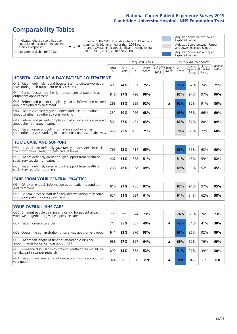# **Comparability Tables**

\* Indicates where a score has been suppressed because there are less than 21 responses.

\*\* No score available for 2018.

 $\triangle$  or  $\nabla$ 

Change 2018-2019: Indicates where 2019 score is significantly higher or lower than 2018 score Change Overall: Indicates significant change overall (2015, 2016, 2017, 2018 and 2019).

Adjusted Score below Lower Expected Range Adjusted Score between Upper and Lower Expected Ranges Adjusted Score above Upper Expected Range

|                                                                                                                       |                      |               |           | Unadjusted Scores |                         |                   |               | Case Mix Adjusted Scores |                                     |                   |
|-----------------------------------------------------------------------------------------------------------------------|----------------------|---------------|-----------|-------------------|-------------------------|-------------------|---------------|--------------------------|-------------------------------------|-------------------|
|                                                                                                                       | 2018<br>$\mathsf{n}$ | 2018<br>Score | 2019<br>n | 2019<br>Score     | Change<br>2018-<br>2019 | Change<br>Overall | 2019<br>Score | Lower<br>Range           | Upper<br>Expected Expected<br>Range | National<br>Score |
| <b>HOSPITAL CARE AS A DAY PATIENT / OUTPATIENT</b>                                                                    |                      |               |           |                   |                         |                   |               |                          |                                     |                   |
| Q43. Patient definitely found hospital staff to discuss worries or<br>fears during their outpatient or day case visit | 691                  | 74%           | 661       | 75%               |                         |                   | 75%           | 67%                      | 74%                                 | 71%               |
| Q44. Cancer doctor had the right documents at patient's last<br>outpatient appointment                                | 846                  | 97%           | 790       | 96%               |                         |                   | 97%           | 94%                      | 97%                                 | 96%               |
| Q46. Beforehand patient completely had all information needed<br>about radiotherapy treatment                         | 268                  | 88%           | 259       | 92%               |                         | ▲                 | 92%           | 82%                      | 91%                                 | 86%               |
| Q47. Patient completely given understandable information<br>about whether radiotherapy was working                    | 232                  | 60%           | 226       | 68%               |                         |                   | 69%           | 53%                      | 66%                                 | 60%               |
| Q49. Beforehand patient completely had all information needed<br>about chemotherapy treatment                         | 501                  | 87%           | 491       | 83%               |                         |                   | 83%           | 81%                      | 88%                                 | 84%               |
| Q50. Patient given enough information about whether<br>chemotherapy was working in a completely understandable way    | 463                  | 73%           | 455       | 71%               |                         |                   | 70%           | 63%                      | 72%                                 | 68%               |
| <b>HOME CARE AND SUPPORT</b>                                                                                          |                      |               |           |                   |                         |                   |               |                          |                                     |                   |
| Q51. Hospital staff definitely gave family or someone close all<br>the information needed to help care at home        | 766                  | 63%           | 714       | 65%               |                         |                   | 66%           | 56%                      | 63%                                 | 60%               |
| Q52. Patient definitely given enough support from health or<br>social services during treatment                       | 407                  | 51%           | 388       | 51%               |                         |                   | 51%           | 45%                      | 59%                                 | 52%               |
| Q53. Patient definitely given enough support from health or<br>social services after treatment                        | 268                  | 46%           | 258       | 49%               |                         |                   | 49%           | 38%                      | 52%                                 | 45%               |
| <b>CARE FROM YOUR GENERAL PRACTICE</b>                                                                                |                      |               |           |                   |                         |                   |               |                          |                                     |                   |
| Q54. GP given enough information about patient's condition<br>and treatment                                           | 810                  | 97%           | 755       | 97%               |                         |                   | 97%           | 94%                      | 97%                                 | 95%               |
| Q55. General practice staff definitely did everything they could<br>to support patient during treatment               | 621                  | 59%           | 584       | 61%               |                         |                   | 61%           | 54%                      | 62%                                 | 58%               |
| <b>YOUR OVERALL NHS CARE</b>                                                                                          |                      |               |           |                   |                         |                   |               |                          |                                     |                   |
| Q56. Different people treating and caring for patient always                                                          | $\star\star$         | $***$         |           |                   |                         |                   |               |                          |                                     |                   |
| work well together to give best possible care                                                                         |                      |               | 844       | 73%               |                         |                   | 74%           | 69%                      | 76%                                 | 73%               |
| Q57. Patient given a care plan                                                                                        | 714                  | 35%           | 667       | 40%               |                         | ▲                 | 43%           | 34%                      | 41%                                 | 38%               |
| Q58. Overall the administration of care was good or very good                                                         | 941                  | 92%           | 870       | 93%               |                         |                   | 93%           | 86%                      | 92%                                 | 89%               |
| Q59. Patient felt length of time for attending clinics and<br>appointments for cancer was about right                 | 938                  | 67%           | 867       | 64%               |                         | ▲                 | 66%           | 62%                      | 76%                                 | 69%               |
| Q60. Someone discussed with patient whether they would like<br>to take part in cancer research                        | 899                  | 53%           | 832       | 52%               |                         |                   | 51%           | 21%                      | 39%                                 | 30%               |
| Q61. Patient's average rating of care scored from very poor to<br>very good                                           | 924                  | 9.0           | 850       | 8.9               |                         | ▲                 | 9.0           | 8.7                      | 8.9                                 | 8.8               |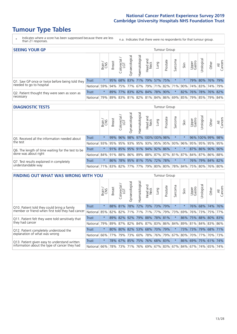- \* Indicates where a score has been suppressed because there are less than 21 responses.
- n.a. Indicates that there were no respondents for that tumour group.

| <b>SEEING YOUR GP</b>                           |            |              |               |                   |                |               |                             |      | Tumour Group |         |                                                     |                 |                                  |       |                |
|-------------------------------------------------|------------|--------------|---------------|-------------------|----------------|---------------|-----------------------------|------|--------------|---------|-----------------------------------------------------|-----------------|----------------------------------|-------|----------------|
|                                                 |            | Brain<br>CNS | <b>Breast</b> | Colorectal<br>LGT | Gynaecological | Haematologica | Head and<br>Neck            | Lung | Prostate     | Sarcoma | Skin                                                | Upper<br>Gastro | $\overline{\sigma}$<br>Jrologica | Other | All<br>Cancers |
| Q1. Saw GP once or twice before being told they | Trust      |              |               |                   |                |               | 95% 68% 83% 71% 79% 57% 75% |      |              | $\star$ |                                                     |                 | 79% 80% 76% 79%                  |       |                |
| needed to go to hospital                        | National   | 59%          |               |                   |                |               |                             |      |              |         | 94% 75% 77% 67% 79% 71% 82% 71% 90% 74% 83% 74% 79% |                 |                                  |       |                |
| Q2. Patient thought they were seen as soon as   | Trust      | $\star$      |               |                   |                |               | 89% 77% 83% 82% 84% 78% 90% |      |              | $\star$ |                                                     |                 | 82% 76% 78% 76% 82%              |       |                |
| necessary                                       | National I | 79%          |               |                   |                |               |                             |      |              |         | 89% 83% 81% 82% 81% 84% 86% 69% 85% 79% 85% 79% 84% |                 |                                  |       |                |

#### **DIAGNOSTIC TESTS** Tumour Group

|                                                   |                                                                  | Brain   | <b>Breast</b> | olorectal<br>LGT<br>$\cup$ | $\overline{\sigma}$<br>Gynaecologic | Haematologica | Head and<br>Neck | <b>Dung</b>                 | Prostate | Sarcoma | Skin    | Upper<br>Gastro | Jrological                                              | Other | All<br>Cancers |
|---------------------------------------------------|------------------------------------------------------------------|---------|---------------|----------------------------|-------------------------------------|---------------|------------------|-----------------------------|----------|---------|---------|-----------------|---------------------------------------------------------|-------|----------------|
| Q5. Received all the information needed about     | Trust                                                            | $\star$ | 99%           | 96%                        |                                     |               |                  | 98% 97% 100% 100% 98%       |          |         |         |                 | 96% 100% 99% 98%                                        |       |                |
| the test                                          | National                                                         | 93%     |               | 95% 95%                    |                                     |               |                  | 93% 95% 93% 95% 95% 93% 96% |          |         |         |                 | 95% 95% 95% 95%                                         |       |                |
| Q6. The length of time waiting for the test to be | Trust                                                            | $\star$ |               |                            |                                     |               |                  | 91% 85% 95% 91% 94% 92% 86% |          | $\star$ | $\star$ |                 | 87% 86% 90% 90%                                         |       |                |
| done was about right                              | National                                                         |         |               |                            |                                     |               |                  |                             |          |         |         |                 | 84% 91% 88% 86% 89% 88% 87% 87% 81% 87% 84% 87% 86% 88% |       |                |
| Q7. Test results explained in completely          | Trust                                                            | $\star$ | 86%           |                            |                                     |               |                  | 78% 95% 81% 75% 72% 78%     |          | $\star$ |         |                 | 76% 79% 84% 82%                                         |       |                |
| understandable way                                | National 71% 83% 82% 77% 77% 79% 80% 80% 78% 84% 75% 80% 76% 80% |         |               |                            |                                     |               |                  |                             |          |         |         |                 |                                                         |       |                |

| <b>FINDING OUT WHAT WAS WRONG WITH YOU</b>        |              |         |               |                       |                |                         |                  |      | <b>Tumour Group</b> |         |      |                 |                     |       |                |
|---------------------------------------------------|--------------|---------|---------------|-----------------------|----------------|-------------------------|------------------|------|---------------------|---------|------|-----------------|---------------------|-------|----------------|
|                                                   |              | Brain   | <b>Breast</b> | olorectal<br>LGT<br>Ū | Gynaecological | Haematological          | Head and<br>Neck | Lung | Prostate            | Sarcoma | Skin | Upper<br>Gastro | Urological          | Other | All<br>Cancers |
| Q10. Patient told they could bring a family       | <b>Trust</b> | $\star$ | 88% 81%       |                       | 78%            | 72% 70%                 |                  | 73%  | 79%                 | $\ast$  |      | 76%             | 68% 74%             |       | 176%           |
| member or friend when first told they had cancer  | National     | 85%     | 82%           | 82%                   |                | 71% 71% 71% 77% 79%     |                  |      |                     | 73%     | 69%  |                 | 76% 73%             | 75%   | 77%            |
| Q11. Patient felt they were told sensitively that | Trust        | $\star$ | 89%           | 82%                   | 92%            |                         | 79% 88% 78% 81%  |      |                     | $\ast$  | 86%  |                 | 75% 88% 80% 83%     |       |                |
| they had cancer                                   | National     | 79%     |               | 89% 87%               |                | 82% 84% 87% 83% 86% 84% |                  |      |                     |         |      |                 | 89% 81% 84% 83% 86% |       |                |
| Q12. Patient completely understood the            | Trust        | $\star$ | 80%           | 80%                   |                | 82% 53% 68% 70% 79%     |                  |      |                     | $\star$ | 73%  |                 | 73% 79% 68% 71%     |       |                |
| explanation of what was wrong                     | National     | 66%     | 77%           | 79%                   | 73%            |                         | 60% 78% 76% 79%  |      |                     | 67%     | 80%  |                 | 70% 77%             |       | 70% 73%        |
| Q13. Patient given easy to understand written     | Trust        | $\star$ |               | 78% 67%               |                | 85% 75% 76% 68% 83%     |                  |      |                     | $\star$ |      |                 | 86% 69% 75% 61%     |       | 74%            |
| information about the type of cancer they had     | National     | 66%     | 78%           | 73%                   |                | 71% 76% 69% 67% 83% 67% |                  |      |                     |         | 84%  |                 | 67% 74%             | 65%   | 74%            |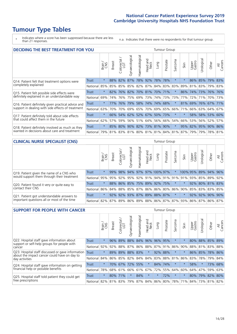\* Indicates where a score has been suppressed because there are less than 21 responses.

n.a. Indicates that there were no respondents for that tumour group.

| <b>DECIDING THE BEST TREATMENT FOR YOU</b>         |              |         |               |                       |                             |                |                        |                     | <b>Tumour Group</b> |                                 |         |                 |            |                 |                |
|----------------------------------------------------|--------------|---------|---------------|-----------------------|-----------------------------|----------------|------------------------|---------------------|---------------------|---------------------------------|---------|-----------------|------------|-----------------|----------------|
|                                                    |              | Brain   | <b>Breast</b> | olorectal<br>LGT<br>Ũ | Gynaecological              | Haematological | ad and<br>Neck<br>Head | Lung                | Prostate            | arcoma<br>ιñ                    | Skin    | Upper<br>Gastro | Jrological | Other           | All<br>Cancers |
| Q14. Patient felt that treatment options were      | <b>Trust</b> | $\star$ | 88%           | 82%                   | 87%                         |                | 78% 92%                | 78%                 | 78%                 | $\star$                         |         |                 | 86% 85%    | $ 79\% $        | 83%            |
| completely explained                               | National     | 85%     | 85%           | 85%                   |                             |                |                        | 85% 82% 87% 84% 83% |                     | 83%                             | 89%     | 81%             | 83%        | 79% 83%         |                |
| Q15. Patient felt possible side effects were       | Trust        | $\star$ | 82%           |                       | 76% 82% 70% 81% 70% 71%     |                |                        |                     |                     |                                 | 86%     | 74%             |            | 73% 76% 76%     |                |
| definitely explained in an understandable way      | National     | 69%     | 74%           | 76%                   |                             |                | 75% 69% 73%            |                     | 74% 73%             | 73%                             | 77%     | 72%             | 71%        | 70% 73%         |                |
| Q16. Patient definitely given practical advice and | Trust        | $\star$ | 77%           | 76%                   |                             |                |                        | 79% 58% 74% 74% 68% |                     | $\ast$                          | 81%     |                 |            | 69% 76% 67% 71% |                |
| support in dealing with side effects of treatment  | National     | 63%     | 70%           | 70%                   |                             |                |                        | 69% 65% 70% 69% 65% |                     | 66%                             | 71%     |                 |            | 66% 63% 64%     | 67%            |
| Q17. Patient definitely told about side effects    | Trust        | $\star$ |               |                       | 66% 54% 62% 52% 67% 50% 73% |                |                        |                     |                     | $\star$                         | $\star$ |                 |            | 58% 58% 53% 60% |                |
| that could affect them in the future               | National     | 62%     | 57%           | 59%                   |                             | 56% 51%        | 64%                    |                     | 56% 66%             | 54%                             | 66%     | 53%             |            | 56% 52%         | 57%            |
| Q18. Patient definitely involved as much as they   | <b>Trust</b> | $\star$ |               |                       | 85% 80% 90% 82% 73% 81% 90% |                |                        |                     |                     | $\star$                         | 95%     |                 |            | 82% 95% 90%     | 86%            |
| wanted in decisions about care and treatment       | National     | 79%     |               |                       |                             |                |                        |                     |                     | 81% 83% 81% 80% 81% 81% 84% 81% | 87%     | 79%             |            | 79% 78%         | 81%            |

#### **CLINICAL NURSE SPECIALIST (CNS)** Tumour Group

|                                             |              | Brain   | <b>Breast</b> | olorectal<br>LGT<br>Ü | aecologica<br>Š | $\overline{\sigma}$<br>O<br>Haematologi | Head and<br>Neck | Lung                                        | Prostate | Sarcoma | Skin    | Upper<br>Gastro | $\sigma$<br>rologica | Other                                                                       | All<br>Cancers |
|---------------------------------------------|--------------|---------|---------------|-----------------------|-----------------|-----------------------------------------|------------------|---------------------------------------------|----------|---------|---------|-----------------|----------------------|-----------------------------------------------------------------------------|----------------|
| Q19. Patient given the name of a CNS who    | <b>Trust</b> | $\star$ | 99%           | 98%                   | 94%             |                                         |                  | 97% 97% 100% 97%                            |          |         |         | 100% 95%        |                      | 89% 94%                                                                     | 96%            |
| would support them through their treatment  | National     |         |               |                       |                 |                                         |                  |                                             |          |         |         |                 |                      | 95% 95% 92% 95% 92% 91% 94% 91% 91% 91% 92% 85% 89%                         | 92%            |
| Q20. Patient found it very or quite easy to | <b>Trust</b> | $\star$ |               |                       |                 |                                         |                  | 88% 86% 85% 75% 89% 92% 75%                 |          | $\star$ | $\star$ |                 |                      | 92% 80% 81% 83%                                                             |                |
| contact their CNS                           | National     |         |               |                       |                 |                                         |                  | 86% 84% 88% 85% 87% 86% 86% 80% 86% 90% 85% |          |         |         |                 |                      | 83% 83%                                                                     | 85%            |
| Q21. Patient got understandable answers to  | Trust        | $\star$ | 92%           | 92%                   | 93%             |                                         |                  | 87% 89% 88% 87%                             |          | $\ast$  | $\star$ |                 | 92% 92%              | 90%                                                                         | 90%            |
| important questions all or most of the time | National     |         |               |                       |                 |                                         |                  |                                             |          |         |         |                 |                      | 82%   87%   89%   86%   89%   88%   86%   87%   87%   93%   86%   87%   86% | 87%            |

| <b>SUPPORT FOR PEOPLE WITH CANCER</b>                                                             |              |         |               |            |                |                |                        |             | Tumour Group |                  |         |                 |            |             |                |
|---------------------------------------------------------------------------------------------------|--------------|---------|---------------|------------|----------------|----------------|------------------------|-------------|--------------|------------------|---------|-----------------|------------|-------------|----------------|
|                                                                                                   |              | Brain   | <b>Breast</b> | Colorectal | Gynaecological | Haematological | ad and<br>Neck<br>Head | <b>Dung</b> | Prostate     | arcoma<br>$\sim$ | Skin    | Upper<br>Gastro | Jrological | Other       | All<br>Cancers |
| Q22. Hospital staff gave information about<br>support or self-help groups for people with         | <b>Trust</b> | $\star$ | 96%           | 89%        | 88%            | 84%            | 96%                    | 96%         | 95%          | $\star$          |         | 80%             |            | 88% 85% 89% |                |
| cancer                                                                                            | National     | 92%     | 92%           | 88%        | 87%            | 86%            | 88%                    |             | 87% 91%      | 86%              | 90%     | 88%             | 81%        | 83%         | 88%            |
| Q23. Hospital staff discussed or gave information<br>about the impact cancer could have on day to | Trust        | $\star$ | 89%           | 89%        | 88%            | 83%            | $\star$                | 92%         | 88%          | $\ast$           |         | 86%             | 85%        | 78% 86%     |                |
| day activities                                                                                    | National     | 84%     |               | 86% 85%    | 82%            | 84%            | 84%                    | 83%         | 88%          | 81%              | 86%     | 83%             | 78%        | 79%         | 84%            |
| Q24. Hospital staff gave information on getting                                                   | <b>Trust</b> | $\star$ | 70%           | 67%        | 72%            | 55%            | $\star$                |             | 84% 74%      | $\star$          | $\star$ | 58%             | $^\star$   | 73%         | 68%            |
| financial help or possible benefits                                                               | National     | 78%     |               | 68% 61%    | 66%            | 61%            | 67%                    |             | 72% 55%      | 64%              | 60%     | 64%             | 47%        | 59%         | 63%            |
| Q25. Hospital staff told patient they could get                                                   | Trust        | $\star$ | 80%           | 171%       | $\star$        | 84%            | $\star$                | $^\star$    | 72%          | $^\star$         |         | $80\%$          | 79%        |             | 82% 80%        |
| free prescriptions                                                                                | National     | 82%     |               | 81% 83%    | 79%            | 87%            |                        | 84% 86% 80% |              | 78%              | 71%     | 84%             |            | 73% 81% 82% |                |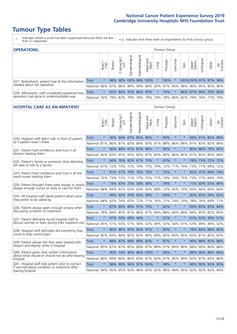- \* Indicates where a score has been suppressed because there are less than 21 responses.
- n.a. Indicates that there were no respondents for that tumour group.

| <b>OPERATIONS</b>                                |              |              |               |            |                     |                |                                                                 |             | Tumour Group |         |      |                 |            |                      |                |
|--------------------------------------------------|--------------|--------------|---------------|------------|---------------------|----------------|-----------------------------------------------------------------|-------------|--------------|---------|------|-----------------|------------|----------------------|----------------|
|                                                  |              | Brain<br>CNS | <b>Breast</b> | Colorectal | Gynaecological      | Haematological | Head and<br>Neck                                                | <b>Dung</b> | Prostate     | Sarcoma | Skin | Upper<br>Gastro | Jrological | Other                | All<br>Cancers |
| Q27. Beforehand, patient had all the information | Trust        | $\star$      |               |            |                     |                | 98% 98% 100% 96% 100%                                           |             | 100%         | $\star$ |      |                 |            | 100%100% 97% 97% 98% |                |
| needed about the operation                       | National     | 96%          | 97%           | 96%        |                     |                | 96% 94% 96% 95% 97% 95% 96%                                     |             |              |         |      |                 |            | 96% 95% 95% 96%      |                |
| Q28. Afterwards, staff completely explained how  | <b>Trust</b> | $\star$      |               |            | 82% 84% 93% 86% 85% |                |                                                                 | $\star$     | 76%          | $\star$ |      |                 |            | 86% 87% 90% 76% 84%  |                |
| operation had gone in understandable way         | National     | 76%          |               | 79% 83%    |                     |                | 79%   78%   79%   79%   78%   80%   82%   79%   76%   77%   79% |             |              |         |      |                 |            |                      |                |

### **HOSPITAL CARE AS AN INPATIENT** Tumour Group

|                                                                                                                      |              | Brain   | <b>Breast</b> | ╮<br>Colorectal /<br>LGT | Gynaecological      | Haematological | Head and<br>Neck        | Lung    | Prostate | Sarcoma | Skin                        | Upper<br>Gastro | Urological      | Other   | All<br>Cancers |
|----------------------------------------------------------------------------------------------------------------------|--------------|---------|---------------|--------------------------|---------------------|----------------|-------------------------|---------|----------|---------|-----------------------------|-----------------|-----------------|---------|----------------|
| Q30. Hospital staff didn't talk in front of patient                                                                  | <b>Trust</b> | $\star$ |               |                          | 90% 84% 87% 85%     |                | 96%                     | $\star$ | 90%      | $\star$ | $\star$                     |                 | 89% 91% 85% 88% |         |                |
| as if patient wasn't there                                                                                           | National     | 81%     | 86%           | 81%                      | 83%                 | 84%            | 83% 81%                 |         | 88%      | 86%     | 86%                         | 81%             | 83%             | 82%     | 84%            |
| Q31. Patient had confidence and trust in all                                                                         | Trust        | $\star$ |               |                          | 90% 84% 91% 81% 96% |                |                         | $\star$ | 85%      | $\star$ | $\star$                     |                 | 80% 88% 79% 85% |         |                |
| doctors treating them                                                                                                | National 82% |         |               |                          | 83% 85% 83% 82%     |                |                         | 87% 83% | 89%      | 86%     | 85%                         |                 | 81% 85%         | 80% 84% |                |
| Q32. Patient's family or someone close definitely                                                                    | <b>Trust</b> | $\star$ |               |                          | 66% 76% 82% 67% 73% |                |                         | $\star$ | 63%      | $\star$ | $\ast$                      |                 | 78% 73% 72% 72% |         |                |
| felt able to talk to a doctor                                                                                        | National 67% |         | 72%           | 73%                      |                     | 72% 74%        | 75%                     | 74%     | 72%      | 71%     | 74%                         |                 | 73% 71%         | 69%     | 72%            |
| Q33. Patient had confidence and trust in all the                                                                     | <b>Trust</b> | $\star$ |               |                          | 81% 67% 79% 70% 75% |                |                         | $\star$ | 75%      | $\star$ | $\star$                     |                 | 82% 75% 68% 74% |         |                |
| ward nurses treating them                                                                                            | National 72% |         | 73%           | 72%                      |                     | 71% 77%        | 75% 77%                 |         | 79%      | 74%     | 75%                         |                 | 73% 77%         | 69% 74% |                |
| Q34. Patient thought there were always or nearly<br>always enough nurses on duty to care for them                    | <b>Trust</b> | $\star$ | 73%           | 63%                      | 73%                 | 58%            | 58%                     | $\star$ | 78%      | $\star$ | $\star$                     | 71%             | 60%             | 55%     | 66%            |
|                                                                                                                      | National     | 68%     | 64%           | 62%                      | 63%                 | 63%            | 65%                     | 68%     | 72%      | 65%     | 70%                         | 65%             | 66%             | 60%     | 64%            |
| Q35. All hospital staff asked patient what name                                                                      | Trust        | $\star$ | 48%           | 62%                      |                     | 59% 65%        | 58%                     | $\star$ | 64%      | $\star$ | $\star$                     |                 | 80% 65% 56% 62% |         |                |
| they prefer to be called by                                                                                          | National     | 68%     | 62%           |                          | 74% 65% 72%         |                |                         | 71% 76% | 72%      | 74%     | 70%                         |                 | 78% 76%         | 69% 71% |                |
| Q36. Patient always given enough privacy when                                                                        | <b>Trust</b> | $\star$ | 87%           |                          | 80% 86% 91% 79%     |                |                         | $\star$ | 82%      | $\star$ | $\star$                     | 69%             | 83% 85% 84%     |         |                |
| discussing condition or treatment                                                                                    | National 78% |         |               |                          | 84% 85% 81% 86%     |                | 87% 84%                 |         | 88%      | 84%     | 84%                         |                 | 84% 85% 82% 85% |         |                |
| Q37. Patient definitely found hospital staff to                                                                      | <b>Trust</b> | $\star$ |               |                          | 47% 54% 69% 46%     |                | $\star$                 | $\star$ | 52%      | $\star$ | $\star$                     |                 | 61% 52% 39%     |         | 51%            |
| discuss worries or fears during their inpatient visit                                                                | National 45% |         |               |                          | 51% 55% 51% 56%     |                |                         | 52% 49% | 53%      | 54%     | 51%                         |                 | 53% 49% 46% 52% |         |                |
| Q38. Hospital staff definitely did everything they                                                                   | <b>Trust</b> | $\star$ |               |                          | 86% 88% 87% 83% 91% |                |                         | $\star$ | 83%      | $\star$ | $\star$                     |                 | 78% 84% 88% 85% |         |                |
| could to help control pain                                                                                           | National     | 85%     | 83%           |                          | 84% 82% 82%         |                | 80% 84%                 |         | 85%      | 83%     | 85%                         |                 | 82% 81%         | 82% 83% |                |
| Q39. Patient always felt they were treated with                                                                      | Trust        | $\star$ |               |                          | 88% 87% 88% 89% 83% |                |                         | $\star$ | 87%      | $\star$ | $\star$                     |                 | 96% 88% 87% 88% |         |                |
| respect and dignity while in hospital                                                                                | National     | 85%     | 87%           | 87%                      |                     | 85% 89%        | 87%                     | 88%     | 91%      | 89%     | 89%                         | 88%             | 90%             | 86%     | 88%            |
| Q40. Patient given clear written information<br>about what should or should not do after leaving                     | <b>Trust</b> | $\star$ |               |                          |                     |                | 90% 74% 96% 86% 100%    | $\star$ | 96%      | $\star$ | $\star$                     | 88%             | 90% 88% 89%     |         |                |
| hospital                                                                                                             | National 80% |         | 89%           |                          | 86% 86% 83%         |                |                         | 87% 82% | 91%      | 85%     | 90%                         |                 | 82% 87%         | 83% 86% |                |
| Q41. Hospital staff told patient who to contact<br>if worried about condition or treatment after<br>leaving hospital | <b>Trust</b> | $\star$ | 98%           |                          |                     |                | 90% 96% 97% 100%        | $\star$ | 98%      | $\star$ | $\star$                     |                 | 98% 90% 92% 95% |         |                |
|                                                                                                                      | National 94% |         |               |                          |                     |                | 95% 95% 93% 96% 93% 92% |         |          |         | 96% 94% 95% 92% 92% 93% 94% |                 |                 |         |                |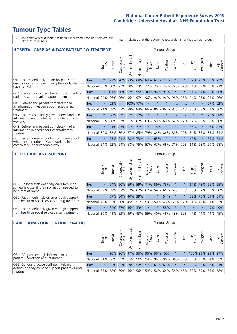- \* Indicates where a score has been suppressed because there are less than 21 responses.
- n.a. Indicates that there were no respondents for that tumour group.

| <b>HOSPITAL CARE AS A DAY PATIENT / OUTPATIENT</b>                                                                    |              |         |               |                            |                |                |                         |         |          | Tumour Group |         |                 |            |         |                |  |  |  |  |
|-----------------------------------------------------------------------------------------------------------------------|--------------|---------|---------------|----------------------------|----------------|----------------|-------------------------|---------|----------|--------------|---------|-----------------|------------|---------|----------------|--|--|--|--|
|                                                                                                                       |              | Brain   | <b>Breast</b> | ╲<br>olorectal<br>LGT<br>Ũ | Gynaecological | Haematological | aad and<br>Neck<br>Head | Lung    | Prostate | arcoma<br>S  | Skin    | Upper<br>Gastro | Jrological | Other   | All<br>Cancers |  |  |  |  |
| Q43. Patient definitely found hospital staff to                                                                       | Trust        | $\star$ | 73%           | 70%                        | 83%            | 69%            | 84%                     | 67%     | 77%      | $\star$      |         | 79%             | 75%        | 80%     | 75%            |  |  |  |  |
| discuss worries or fears during their outpatient or<br>day case visit                                                 | National     | 66%     | 68%           | 73%                        | 70%            | 73%            | 72%                     | 70%     | 74%      | 72%          | 72%     | 71%             | 67%        | 68%     | 71%            |  |  |  |  |
| Q44. Cancer doctor had the right documents at<br>patient's last outpatient appointment                                | Trust        | $\star$ | 100% 96%      |                            | 97%            |                | 95% 100% 96%            |         | 91%      | $^\star$     |         | 91%             | 94%        | 98%     | 96%            |  |  |  |  |
|                                                                                                                       | National     | 94%     | 96%           | 96%                        |                | 96% 97%        |                         | 96% 96% | 96%      | 96%          | 96%     | 94%             | 96%        | 95%     | 96%            |  |  |  |  |
| Q46. Beforehand patient completely had                                                                                | Trust        | $\star$ | 93%           | $\star$                    | 100% 77%       |                | $\star$                 | $\star$ | $\star$  | n.a.         | n.a.    | $\star$         | $^\star$   | 97%     | 92%            |  |  |  |  |
| all information needed about radiotherapy<br>treatment                                                                | National     | 91%     | 88%           | 83%                        | 88%            | 84%            | 86%                     | 86%     | 88%      | 88%          | 84%     | 86%             | 83%        | 84%     | 86%            |  |  |  |  |
| Q47. Patient completely given understandable                                                                          | <b>Trust</b> | $\star$ | 66%           | $\star$                    | $\star$        | 72%            | $\star$                 | $\star$ | $\star$  | n.a.         | n.a.    | $\star$         | $\star$    | 75%     | 68%            |  |  |  |  |
| information about whether radiotherapy was<br>working                                                                 | National     | 56%     | 60%           | 57%                        | 61%            | 62%            | 63%                     | 59%     | 60%      | 67%          | 57%     | 52%             | 59%        | 59%     | 60%            |  |  |  |  |
| Q49. Beforehand patient completely had all                                                                            | <b>Trust</b> | $\star$ | 81%           | 87% 91%                    |                | 77%            | $\star$                 | 75%     | $\star$  | $\star$      | $\star$ | 85%             | $\star$    | 87% 83% |                |  |  |  |  |
| information needed about chemotherapy<br>treatment                                                                    | National     | 80%     | 82%           | 86%                        | 87%            | 85%            | 79%                     | 84%     | 86%      | 86%          | 90%     | 84%             | 85%        | 85% 84% |                |  |  |  |  |
| Q50. Patient given enough information about<br>whether chemotherapy was working in a<br>completely understandable way | Trust        | $\star$ | 63% 61%       |                            | 78%            | 73%            | $\star$                 | 63%     | $\star$  | $\star$      | $\ast$  | 66%             | $^\star$   | 74%     | 71%            |  |  |  |  |
|                                                                                                                       | National     | 54%     | 62%           | 64%                        | 68%            | 75%            | 57%                     | 67%     | 66%      | 71%          | 79%     | 61%             | 68%        | 69%     | 68%            |  |  |  |  |

#### **HOME CARE AND SUPPORT** Tumour Group

|              | Brain   | <b>Breast</b> | Colorectal<br>LGT | त्त<br>Gynaecologic | Haematological                | Head and<br>Neck          | Dung    | Prostate                                     | Sarcoma                            | Skin    | Upper<br>Gastro            | Urological | Other   | All<br>Cancers                                                                  |
|--------------|---------|---------------|-------------------|---------------------|-------------------------------|---------------------------|---------|----------------------------------------------|------------------------------------|---------|----------------------------|------------|---------|---------------------------------------------------------------------------------|
| <b>Trust</b> | $\star$ | 64%           | 60%               |                     |                               |                           |         |                                              | $\star$                            |         |                            |            |         |                                                                                 |
| National     |         |               |                   |                     |                               |                           |         |                                              |                                    |         |                            |            |         |                                                                                 |
| Trust        | $\star$ |               |                   |                     |                               | $\star$                   | $\star$ | 54%                                          | $\star$                            |         |                            |            |         |                                                                                 |
| National     |         |               |                   |                     |                               |                           |         |                                              |                                    |         |                            |            |         | 52%                                                                             |
| Trust        | $\star$ |               |                   |                     |                               | $\star$                   | $\star$ | 58%                                          | $\star$                            | $\star$ | $\star$                    | $\star$    | 49% 49% |                                                                                 |
|              |         |               |                   |                     |                               |                           |         | 46%                                          |                                    |         |                            |            | 44%     | 45%                                                                             |
|              |         | National I    | 58%<br>42%<br>39% | 52% 60%<br>54% 57%  | 58% 63%<br>57% 54%<br>41% 53% | 69%<br>40% 39%<br>46% 33% |         | 59% 71%<br>$57\%$ 62% 67%<br>45% 51% 59% 50% | 59% 75%<br>  39%   43%   56%   40% | 48%     | 59% 61% 62% 65%<br>48% 59% | 53% 57%    |         | 67% 78% 66% 65%<br>60% 59% 55% 60%<br>52% 75% 51% 51%<br>54% 48% 51%<br>47% 44% |

| <b>CARE FROM YOUR GENERAL PRACTICE</b>                                                                     |              |              |               |                   |                   |                |                  | <b>Tumour Group</b> |                                                         |         |      |                 |           |                  |                |  |
|------------------------------------------------------------------------------------------------------------|--------------|--------------|---------------|-------------------|-------------------|----------------|------------------|---------------------|---------------------------------------------------------|---------|------|-----------------|-----------|------------------|----------------|--|
|                                                                                                            |              | Brain<br>CNS | <b>Breast</b> | Colorectal<br>LGT | σ<br>Gynaecologic | Haematological | Head and<br>Neck | Lung                | Prostate                                                | Sarcoma | Skin | Upper<br>Gastro | Urologica | Other            | All<br>Cancers |  |
| Q54. GP given enough information about<br>patient's condition and treatment                                | Trust        | $\star$      |               |                   |                   |                |                  |                     | 96% 96% 97% 96% 96% 96% 100%                            |         |      |                 |           | 100% 93% 98% 97% |                |  |
|                                                                                                            | National l   | 91%          |               |                   |                   |                |                  |                     | 96% 95% 95% 96% 94% 94% 96% 94% 96% 93% 93% 95% 94% 95% |         |      |                 |           |                  |                |  |
| Q55. General practice staff definitely did<br>everything they could to support patient during<br>treatment | <b>Trust</b> | $\star$      |               | 63% 63%           |                   |                |                  |                     | 59% 52% 57% 67% 67%                                     | $\star$ |      |                 |           | 65% 69% 57% 61%  |                |  |
|                                                                                                            | National     | 55%          |               | 58% 59%           |                   |                |                  |                     | 56% 56% 59% 56% 64% 56% 65% 59% 59% 55% 58%             |         |      |                 |           |                  |                |  |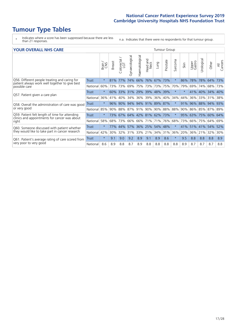- \* Indicates where a score has been suppressed because there are less than 21 responses.
- n.a. Indicates that there were no respondents for that tumour group.

| <b>YOUR OVERALL NHS CARE</b>                                                                                     |              |         |               |                     |                |                     | <b>Tumour Group</b>     |             |          |         |        |                 |                 |                 |                |
|------------------------------------------------------------------------------------------------------------------|--------------|---------|---------------|---------------------|----------------|---------------------|-------------------------|-------------|----------|---------|--------|-----------------|-----------------|-----------------|----------------|
|                                                                                                                  |              | Brain   | <b>Breast</b> | Colorectal /<br>LGT | Gynaecological | Haematological      | aad and<br>Neck<br>Head | Lung        | Prostate | Sarcoma | Skin   | Upper<br>Gastro | ෆී<br>Urologic  | Other           | All<br>Cancers |
| Q56. Different people treating and caring for<br>patient always work well together to give best<br>possible care | <b>Trust</b> | $\star$ | 81%           | 77%                 | 74%            | 66%                 | 76%                     | 67%         | 73%      | $\star$ | 86%    | 78%             | 78%             | 64%             | 73%            |
|                                                                                                                  | National     | 60%     | 73%           | 73%                 | 69%            | 75%                 | 73%                     | 73%         | 75%      | 70%     | 79%    | 69%             | 74%             | 68%             | 73%            |
| Q57. Patient given a care plan                                                                                   | Trust        | $\star$ |               | 60% 33%             |                | 31% 29% 39% 48% 39% |                         |             |          | $\ast$  | $\ast$ |                 |                 | 41% 40% 34% 40% |                |
|                                                                                                                  | National     | 36%     | 41%           | 40%                 | 34%            | 36%                 | 39%                     | 36% 40%     |          | 34%     | 44%    | 36%             | 33%             | 31%             | 38%            |
| Q58. Overall the administration of care was good                                                                 | Trust        | $\star$ | 96%           | 90%                 | 94%            | 94%                 |                         | 91% 89% 87% |          | $\star$ | 91%    | 96%             | 88%             | 94%             | 93%            |
| or very good                                                                                                     | National     | 85%     | 90%           | 88%                 | 87%            | 91%                 | 90%                     | 90% 88%     |          | 88%     | 90%    |                 | 86% 85%         | 87%             | 89%            |
| Q59. Patient felt length of time for attending<br>clinics and appointments for cancer was about                  | Trust        | $\star$ | 73%           | 67%                 |                | 64% 42% 81% 62% 73% |                         |             |          | $\star$ | 95%    | 63%             | 75%             | 60%             | 64%            |
| right                                                                                                            | National     | 58%     |               | 68% 73%             |                | 66% 66% 71%         |                         | 71% 76%     |          | 68%     | 73%    |                 | 66%   75%       | 64%             | 69%            |
| Q60. Someone discussed with patient whether                                                                      | Trust        | $\star$ | 77%           | 44%                 |                | 57% 36% 25%         |                         | 54% 48%     |          | $\star$ |        |                 | 41% 51% 41% 54% |                 | 52%            |
| they would like to take part in cancer research                                                                  | National     | 42%     | 30%           | 32%                 | 31%            | 33%                 | 21%                     | 34%         | 31%      | 36%     | 20%    | 36%             | 21%             | 32%             | 30%            |
| Q61. Patient's average rating of care scored from<br>very poor to very good                                      | <b>Trust</b> | $\star$ | 9.1           | 9.0                 | 9.2            | 8.9                 | 9.1                     | 8.9         | 8.6      | $\star$ | 9.5    | 8.8             | 8.8             | 8.8             | 8.9            |
|                                                                                                                  | National     | 8.6     | 8.9           | 8.8                 | 8.7            | 8.9                 | 8.8                     | 8.8         | 8.8      | 8.8     | 8.9    | 8.7             | 8.7             | 8.7             | 8.8            |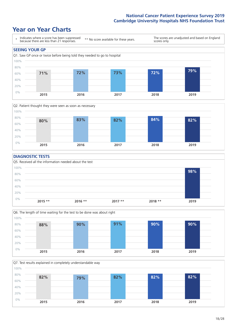### **Year on Year Charts**

![](_page_17_Figure_2.jpeg)

![](_page_17_Figure_3.jpeg)

#### **DIAGNOSTIC TESTS**

![](_page_17_Figure_5.jpeg)

![](_page_17_Figure_6.jpeg)

![](_page_17_Figure_7.jpeg)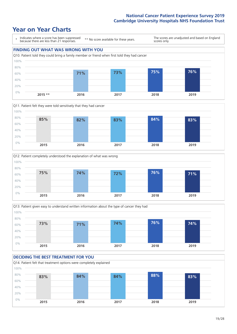### **Year on Year Charts**

![](_page_18_Figure_2.jpeg)

![](_page_18_Figure_3.jpeg)

![](_page_18_Figure_4.jpeg)

![](_page_18_Figure_5.jpeg)

### **DECIDING THE BEST TREATMENT FOR YOU**

![](_page_18_Figure_7.jpeg)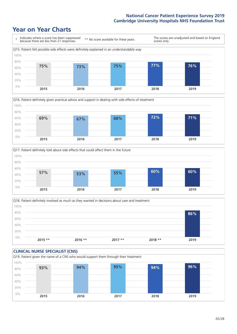![](_page_19_Figure_2.jpeg)

![](_page_19_Figure_3.jpeg)

![](_page_19_Figure_4.jpeg)

![](_page_19_Figure_5.jpeg)

![](_page_19_Figure_6.jpeg)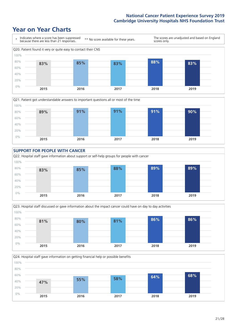![](_page_20_Figure_2.jpeg)

![](_page_20_Figure_3.jpeg)

![](_page_20_Figure_4.jpeg)

![](_page_20_Figure_5.jpeg)

![](_page_20_Figure_6.jpeg)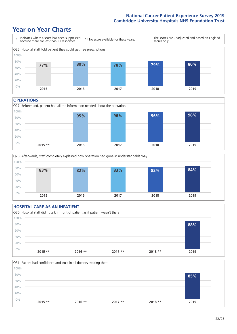### **Year on Year Charts**

![](_page_21_Figure_2.jpeg)

#### **OPERATIONS**

![](_page_21_Figure_4.jpeg)

![](_page_21_Figure_5.jpeg)

### **HOSPITAL CARE AS AN INPATIENT** Q30. Hospital staff didn't talk in front of patient as if patient wasn't there 0% 20% 40% 60% 80% 100% **2015 \*\* 2016 \*\* 2017 \*\* 2018 \*\* 2019 88%**

![](_page_21_Figure_7.jpeg)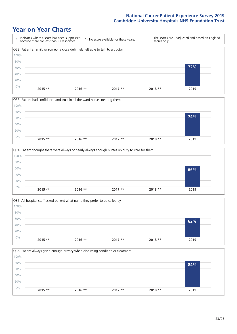![](_page_22_Figure_2.jpeg)

![](_page_22_Figure_3.jpeg)

![](_page_22_Figure_4.jpeg)

![](_page_22_Figure_5.jpeg)

![](_page_22_Figure_6.jpeg)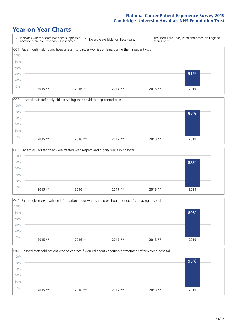![](_page_23_Figure_2.jpeg)

![](_page_23_Figure_3.jpeg)

![](_page_23_Figure_4.jpeg)

![](_page_23_Figure_5.jpeg)

![](_page_23_Figure_6.jpeg)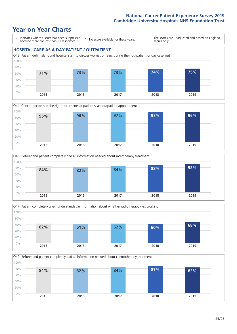![](_page_24_Figure_2.jpeg)

![](_page_24_Figure_3.jpeg)

![](_page_24_Figure_4.jpeg)

![](_page_24_Figure_5.jpeg)

Q49. Beforehand patient completely had all information needed about chemotherapy treatment 0% 20% 40% 60% 80% 100% **2015 2016 2017 2018 2019 84% 82% 84% 87% 83%**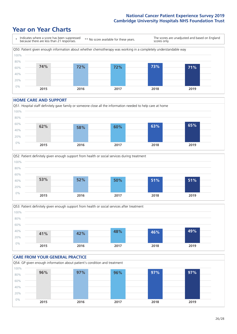### **Year on Year Charts**

![](_page_25_Figure_2.jpeg)

#### **HOME CARE AND SUPPORT**

![](_page_25_Figure_4.jpeg)

![](_page_25_Figure_5.jpeg)

![](_page_25_Figure_6.jpeg)

![](_page_25_Figure_7.jpeg)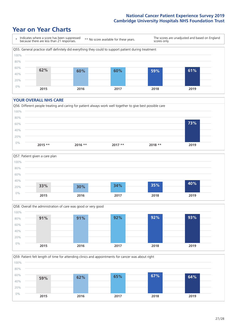### **Year on Year Charts**

![](_page_26_Figure_2.jpeg)

#### **YOUR OVERALL NHS CARE**

![](_page_26_Figure_4.jpeg)

![](_page_26_Figure_5.jpeg)

![](_page_26_Figure_6.jpeg)

Q59. Patient felt length of time for attending clinics and appointments for cancer was about right

![](_page_26_Figure_8.jpeg)